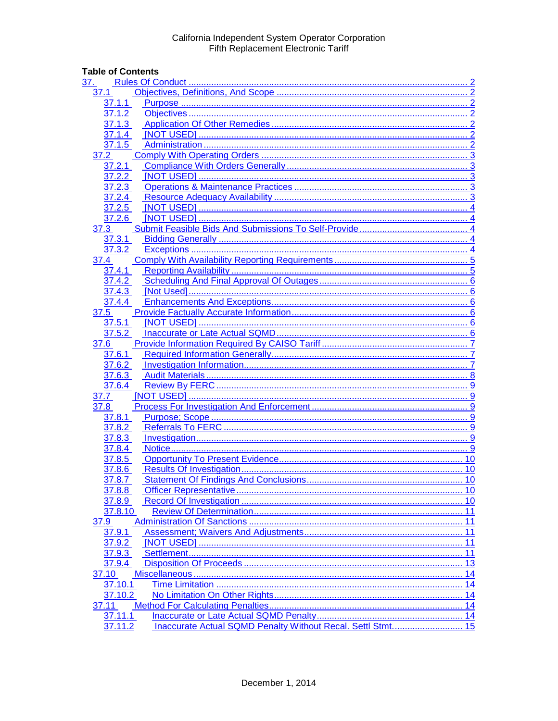# **Table of Contents**

| 37.                 |    |
|---------------------|----|
| 37.1                |    |
| 37.1.1              |    |
| $37.1.\overline{2}$ |    |
| 37.1.3              |    |
| 37.1.4              |    |
| 37.1.5              |    |
| 37.2                |    |
| 37.2.1              |    |
| 37.2.2              |    |
| 37.2.3              |    |
| 37.2.4              |    |
| 37.2.5              |    |
| 37.2.6              |    |
| 37.3                |    |
| 37.3.1              |    |
| 37.3.2              |    |
| 37.4                |    |
| 37.4.1              |    |
| 37.4.2              |    |
| 37.4.3              |    |
| 37.4.4              |    |
| 37.5                |    |
| 37.5.1              |    |
| 37.5.2              |    |
| 37.6                |    |
| 37.6.1              |    |
| 37.6.2              |    |
| 37.6.3              |    |
| 37.6.4              |    |
| 37.7                |    |
| 37.8                |    |
| 37.8.1              |    |
| 37.8.2              |    |
| 37.8.3              |    |
| 37.8.4              |    |
| 37.8.5              |    |
| 37.8.6              |    |
| 37.8.7              |    |
| 37.8.8              |    |
| 37.8.9              |    |
| 37.8.10             |    |
| 37.9                |    |
| 37.9.1              | 11 |
| 37.9.2              | 11 |
| 37.9.3              |    |
| 37.9.4              |    |
| 37.10               |    |
| 37.10.1             |    |
| 37.10.2             |    |
| 37.11               |    |
| 37.11.1             |    |
| 37.11.2             |    |
|                     |    |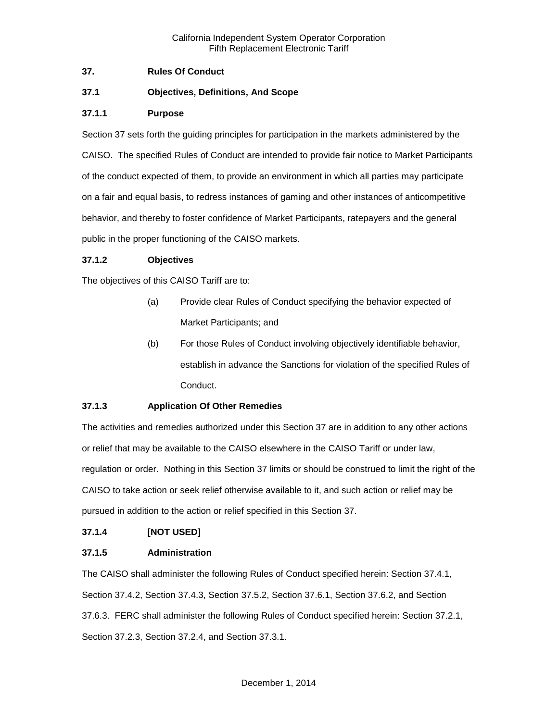# <span id="page-1-0"></span>**37. Rules Of Conduct**

# <span id="page-1-1"></span>**37.1 Objectives, Definitions, And Scope**

## <span id="page-1-2"></span>**37.1.1 Purpose**

Section 37 sets forth the guiding principles for participation in the markets administered by the CAISO. The specified Rules of Conduct are intended to provide fair notice to Market Participants of the conduct expected of them, to provide an environment in which all parties may participate on a fair and equal basis, to redress instances of gaming and other instances of anticompetitive behavior, and thereby to foster confidence of Market Participants, ratepayers and the general public in the proper functioning of the CAISO markets.

### <span id="page-1-3"></span>**37.1.2 Objectives**

The objectives of this CAISO Tariff are to:

- (a) Provide clear Rules of Conduct specifying the behavior expected of Market Participants; and
- (b) For those Rules of Conduct involving objectively identifiable behavior, establish in advance the Sanctions for violation of the specified Rules of Conduct.

# <span id="page-1-4"></span>**37.1.3 Application Of Other Remedies**

The activities and remedies authorized under this Section 37 are in addition to any other actions or relief that may be available to the CAISO elsewhere in the CAISO Tariff or under law, regulation or order. Nothing in this Section 37 limits or should be construed to limit the right of the CAISO to take action or seek relief otherwise available to it, and such action or relief may be pursued in addition to the action or relief specified in this Section 37.

### <span id="page-1-5"></span>**37.1.4 [NOT USED]**

### <span id="page-1-6"></span>**37.1.5 Administration**

The CAISO shall administer the following Rules of Conduct specified herein: Section 37.4.1, Section 37.4.2, Section 37.4.3, Section 37.5.2, Section 37.6.1, Section 37.6.2, and Section 37.6.3. FERC shall administer the following Rules of Conduct specified herein: Section 37.2.1, Section 37.2.3, Section 37.2.4, and Section 37.3.1.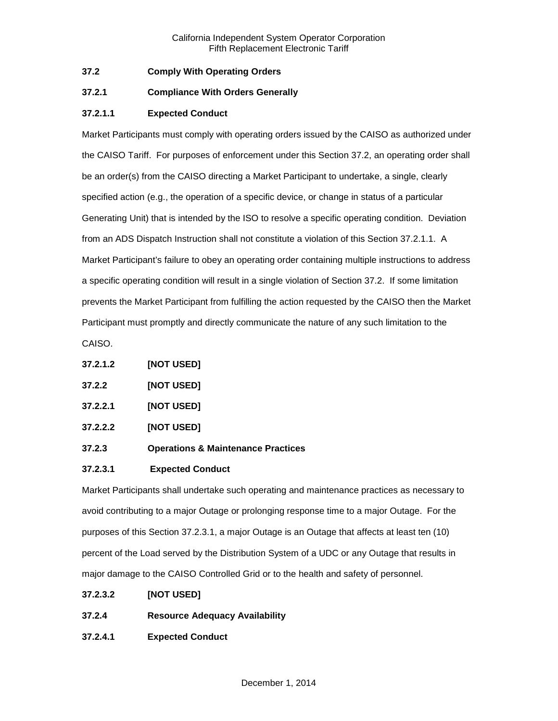# <span id="page-2-0"></span>**37.2 Comply With Operating Orders**

## <span id="page-2-1"></span>**37.2.1 Compliance With Orders Generally**

# **37.2.1.1 Expected Conduct**

Market Participants must comply with operating orders issued by the CAISO as authorized under the CAISO Tariff. For purposes of enforcement under this Section 37.2, an operating order shall be an order(s) from the CAISO directing a Market Participant to undertake, a single, clearly specified action (e.g., the operation of a specific device, or change in status of a particular Generating Unit) that is intended by the ISO to resolve a specific operating condition. Deviation from an ADS Dispatch Instruction shall not constitute a violation of this Section 37.2.1.1. A Market Participant's failure to obey an operating order containing multiple instructions to address a specific operating condition will result in a single violation of Section 37.2. If some limitation prevents the Market Participant from fulfilling the action requested by the CAISO then the Market Participant must promptly and directly communicate the nature of any such limitation to the

CAISO.

- <span id="page-2-2"></span>**37.2.2 [NOT USED]**
- **37.2.2.1 [NOT USED]**
- **37.2.2.2 [NOT USED]**
- <span id="page-2-3"></span>**37.2.3 Operations & Maintenance Practices**

### **37.2.3.1 Expected Conduct**

Market Participants shall undertake such operating and maintenance practices as necessary to avoid contributing to a major Outage or prolonging response time to a major Outage. For the purposes of this Section 37.2.3.1, a major Outage is an Outage that affects at least ten (10) percent of the Load served by the Distribution System of a UDC or any Outage that results in major damage to the CAISO Controlled Grid or to the health and safety of personnel.

- **37.2.3.2 [NOT USED]**
- <span id="page-2-4"></span>**37.2.4 Resource Adequacy Availability**
- **37.2.4.1 Expected Conduct**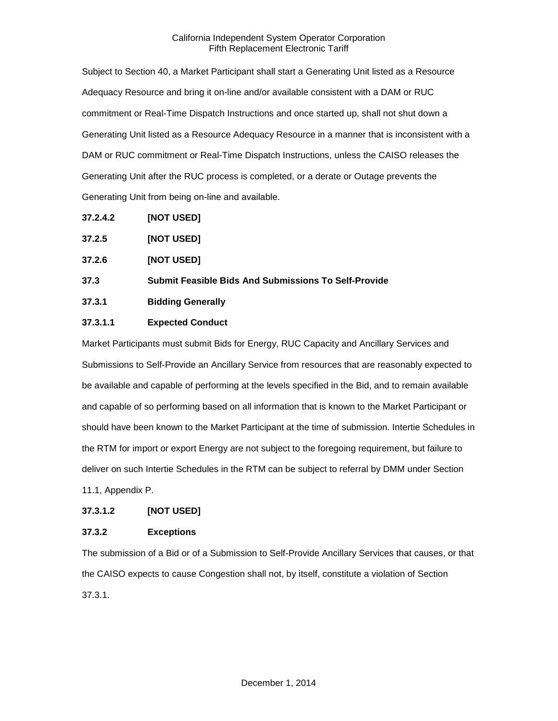Subject to Section 40, a Market Participant shall start a Generating Unit listed as a Resource Adequacy Resource and bring it on-line and/or available consistent with a DAM or RUC commitment or Real-Time Dispatch Instructions and once started up, shall not shut down a Generating Unit listed as a Resource Adequacy Resource in a manner that is inconsistent with a DAM or RUC commitment or Real-Time Dispatch Instructions, unless the CAISO releases the Generating Unit after the RUC process is completed, or a derate or Outage prevents the Generating Unit from being on-line and available.

**37.2.4.2 [NOT USED]**

<span id="page-3-0"></span>

| 37.2.5 | [NOT USED] |
|--------|------------|
|--------|------------|

<span id="page-3-1"></span>**37.2.6 [NOT USED]**

<span id="page-3-2"></span>**37.3 Submit Feasible Bids And Submissions To Self-Provide**

<span id="page-3-3"></span>**37.3.1 Bidding Generally**

# **37.3.1.1 Expected Conduct**

Market Participants must submit Bids for Energy, RUC Capacity and Ancillary Services and Submissions to Self-Provide an Ancillary Service from resources that are reasonably expected to be available and capable of performing at the levels specified in the Bid, and to remain available and capable of so performing based on all information that is known to the Market Participant or should have been known to the Market Participant at the time of submission. Intertie Schedules in the RTM for import or export Energy are not subject to the foregoing requirement, but failure to deliver on such Intertie Schedules in the RTM can be subject to referral by DMM under Section 11.1, Appendix P.

### **37.3.1.2 [NOT USED]**

# <span id="page-3-4"></span>**37.3.2 Exceptions**

The submission of a Bid or of a Submission to Self-Provide Ancillary Services that causes, or that the CAISO expects to cause Congestion shall not, by itself, constitute a violation of Section 37.3.1.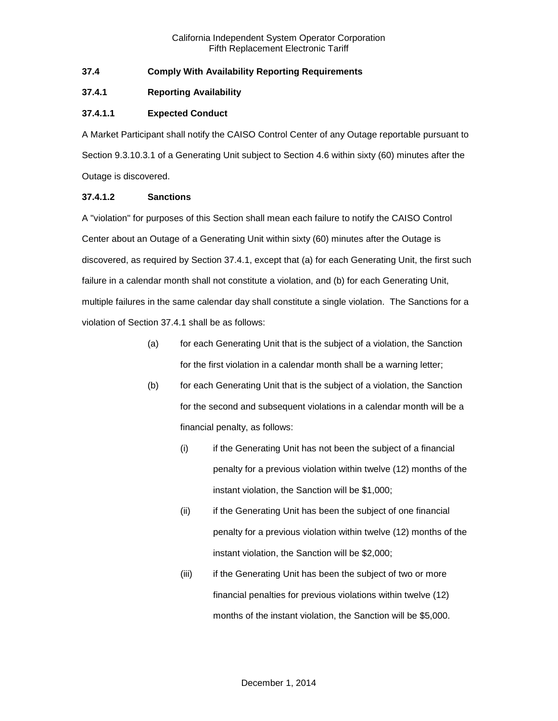# <span id="page-4-0"></span>**37.4 Comply With Availability Reporting Requirements**

## <span id="page-4-1"></span>**37.4.1 Reporting Availability**

# **37.4.1.1 Expected Conduct**

A Market Participant shall notify the CAISO Control Center of any Outage reportable pursuant to Section 9.3.10.3.1 of a Generating Unit subject to Section 4.6 within sixty (60) minutes after the Outage is discovered.

# **37.4.1.2 Sanctions**

A "violation" for purposes of this Section shall mean each failure to notify the CAISO Control Center about an Outage of a Generating Unit within sixty (60) minutes after the Outage is discovered, as required by Section 37.4.1, except that (a) for each Generating Unit, the first such failure in a calendar month shall not constitute a violation, and (b) for each Generating Unit, multiple failures in the same calendar day shall constitute a single violation. The Sanctions for a violation of Section 37.4.1 shall be as follows:

- (a) for each Generating Unit that is the subject of a violation, the Sanction for the first violation in a calendar month shall be a warning letter;
- (b) for each Generating Unit that is the subject of a violation, the Sanction for the second and subsequent violations in a calendar month will be a financial penalty, as follows:
	- (i) if the Generating Unit has not been the subject of a financial penalty for a previous violation within twelve (12) months of the instant violation, the Sanction will be \$1,000;
	- (ii) if the Generating Unit has been the subject of one financial penalty for a previous violation within twelve (12) months of the instant violation, the Sanction will be \$2,000;
	- (iii) if the Generating Unit has been the subject of two or more financial penalties for previous violations within twelve (12) months of the instant violation, the Sanction will be \$5,000.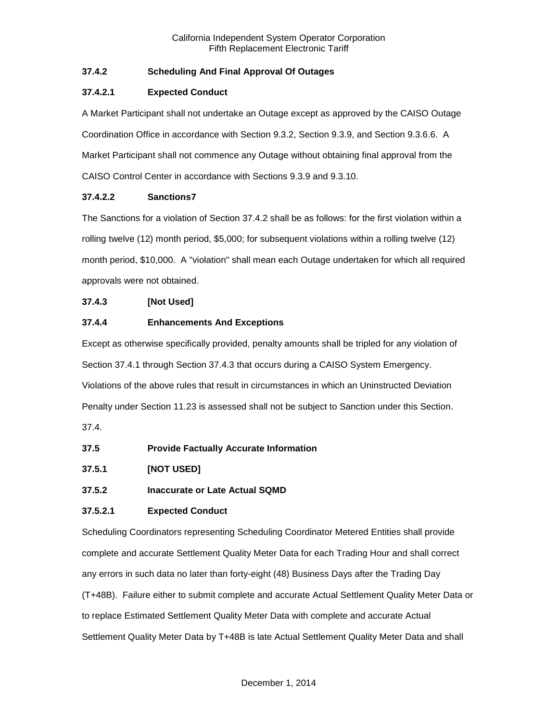# <span id="page-5-0"></span>**37.4.2 Scheduling And Final Approval Of Outages**

# **37.4.2.1 Expected Conduct**

A Market Participant shall not undertake an Outage except as approved by the CAISO Outage Coordination Office in accordance with Section 9.3.2, Section 9.3.9, and Section 9.3.6.6. A Market Participant shall not commence any Outage without obtaining final approval from the CAISO Control Center in accordance with Sections 9.3.9 and 9.3.10.

# **37.4.2.2 Sanctions7**

The Sanctions for a violation of Section 37.4.2 shall be as follows: for the first violation within a rolling twelve (12) month period, \$5,000; for subsequent violations within a rolling twelve (12) month period, \$10,000. A "violation" shall mean each Outage undertaken for which all required approvals were not obtained.

# <span id="page-5-1"></span>**37.4.3 [Not Used]**

# <span id="page-5-2"></span>**37.4.4 Enhancements And Exceptions**

Except as otherwise specifically provided, penalty amounts shall be tripled for any violation of Section 37.4.1 through Section 37.4.3 that occurs during a CAISO System Emergency. Violations of the above rules that result in circumstances in which an Uninstructed Deviation Penalty under Section 11.23 is assessed shall not be subject to Sanction under this Section.

37.4.

- <span id="page-5-3"></span>**37.5 Provide Factually Accurate Information**
- <span id="page-5-4"></span>**37.5.1 [NOT USED]**
- <span id="page-5-5"></span>**37.5.2 Inaccurate or Late Actual SQMD**

# **37.5.2.1 Expected Conduct**

Scheduling Coordinators representing Scheduling Coordinator Metered Entities shall provide complete and accurate Settlement Quality Meter Data for each Trading Hour and shall correct any errors in such data no later than forty-eight (48) Business Days after the Trading Day (T+48B). Failure either to submit complete and accurate Actual Settlement Quality Meter Data or to replace Estimated Settlement Quality Meter Data with complete and accurate Actual Settlement Quality Meter Data by T+48B is late Actual Settlement Quality Meter Data and shall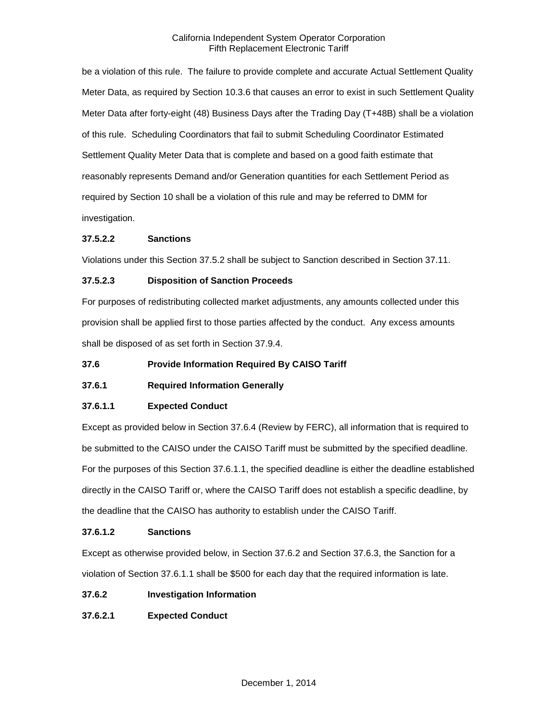be a violation of this rule. The failure to provide complete and accurate Actual Settlement Quality Meter Data, as required by Section 10.3.6 that causes an error to exist in such Settlement Quality Meter Data after forty-eight (48) Business Days after the Trading Day (T+48B) shall be a violation of this rule. Scheduling Coordinators that fail to submit Scheduling Coordinator Estimated Settlement Quality Meter Data that is complete and based on a good faith estimate that reasonably represents Demand and/or Generation quantities for each Settlement Period as required by Section 10 shall be a violation of this rule and may be referred to DMM for investigation.

# **37.5.2.2 Sanctions**

Violations under this Section 37.5.2 shall be subject to Sanction described in Section 37.11.

### **37.5.2.3 Disposition of Sanction Proceeds**

For purposes of redistributing collected market adjustments, any amounts collected under this provision shall be applied first to those parties affected by the conduct. Any excess amounts shall be disposed of as set forth in Section 37.9.4.

### <span id="page-6-0"></span>**37.6 Provide Information Required By CAISO Tariff**

# <span id="page-6-1"></span>**37.6.1 Required Information Generally**

### **37.6.1.1 Expected Conduct**

Except as provided below in Section 37.6.4 (Review by FERC), all information that is required to be submitted to the CAISO under the CAISO Tariff must be submitted by the specified deadline. For the purposes of this Section 37.6.1.1, the specified deadline is either the deadline established directly in the CAISO Tariff or, where the CAISO Tariff does not establish a specific deadline, by the deadline that the CAISO has authority to establish under the CAISO Tariff.

### **37.6.1.2 Sanctions**

Except as otherwise provided below, in Section 37.6.2 and Section 37.6.3, the Sanction for a violation of Section 37.6.1.1 shall be \$500 for each day that the required information is late.

### <span id="page-6-2"></span>**37.6.2 Investigation Information**

# **37.6.2.1 Expected Conduct**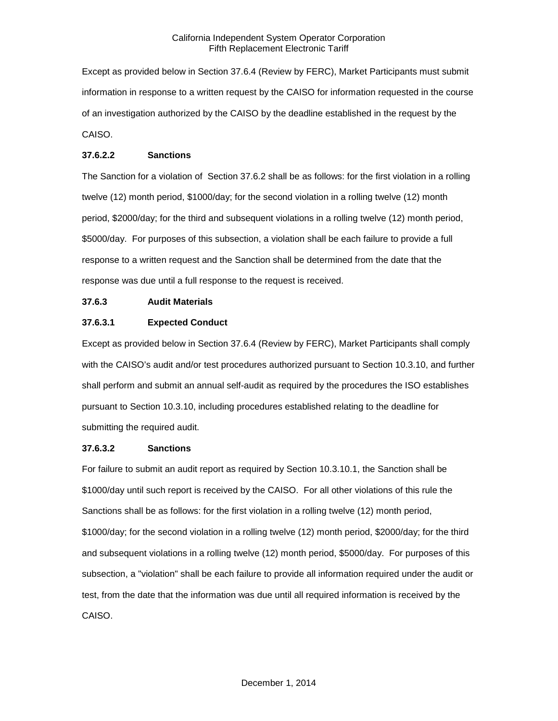Except as provided below in Section 37.6.4 (Review by FERC), Market Participants must submit information in response to a written request by the CAISO for information requested in the course of an investigation authorized by the CAISO by the deadline established in the request by the CAISO.

## **37.6.2.2 Sanctions**

The Sanction for a violation of Section 37.6.2 shall be as follows: for the first violation in a rolling twelve (12) month period, \$1000/day; for the second violation in a rolling twelve (12) month period, \$2000/day; for the third and subsequent violations in a rolling twelve (12) month period, \$5000/day. For purposes of this subsection, a violation shall be each failure to provide a full response to a written request and the Sanction shall be determined from the date that the response was due until a full response to the request is received.

# <span id="page-7-0"></span>**37.6.3 Audit Materials**

# **37.6.3.1 Expected Conduct**

Except as provided below in Section 37.6.4 (Review by FERC), Market Participants shall comply with the CAISO's audit and/or test procedures authorized pursuant to Section 10.3.10, and further shall perform and submit an annual self-audit as required by the procedures the ISO establishes pursuant to Section 10.3.10, including procedures established relating to the deadline for submitting the required audit.

### **37.6.3.2 Sanctions**

For failure to submit an audit report as required by Section 10.3.10.1, the Sanction shall be \$1000/day until such report is received by the CAISO. For all other violations of this rule the Sanctions shall be as follows: for the first violation in a rolling twelve (12) month period, \$1000/day; for the second violation in a rolling twelve (12) month period, \$2000/day; for the third and subsequent violations in a rolling twelve (12) month period, \$5000/day. For purposes of this subsection, a "violation" shall be each failure to provide all information required under the audit or test, from the date that the information was due until all required information is received by the CAISO.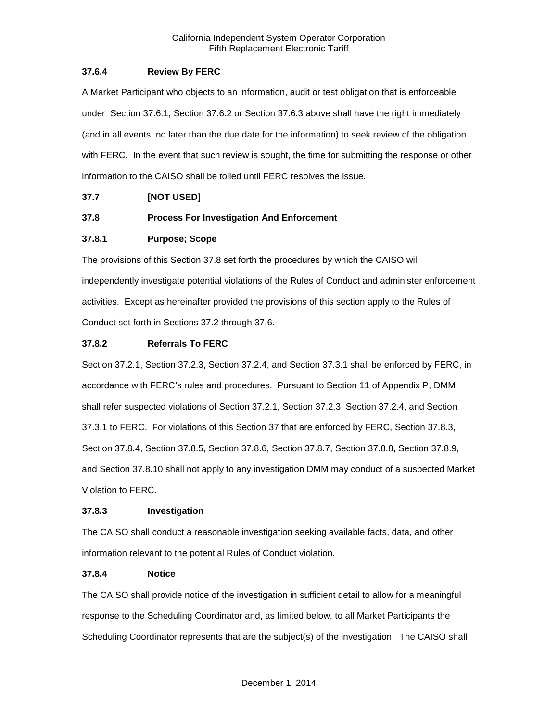# <span id="page-8-0"></span>**37.6.4 Review By FERC**

A Market Participant who objects to an information, audit or test obligation that is enforceable under Section 37.6.1, Section 37.6.2 or Section 37.6.3 above shall have the right immediately (and in all events, no later than the due date for the information) to seek review of the obligation with FERC. In the event that such review is sought, the time for submitting the response or other information to the CAISO shall be tolled until FERC resolves the issue.

# <span id="page-8-1"></span>**37.7 [NOT USED]**

# <span id="page-8-2"></span>**37.8 Process For Investigation And Enforcement**

# <span id="page-8-3"></span>**37.8.1 Purpose; Scope**

The provisions of this Section 37.8 set forth the procedures by which the CAISO will independently investigate potential violations of the Rules of Conduct and administer enforcement activities. Except as hereinafter provided the provisions of this section apply to the Rules of Conduct set forth in Sections 37.2 through 37.6.

# <span id="page-8-4"></span>**37.8.2 Referrals To FERC**

Section 37.2.1, Section 37.2.3, Section 37.2.4, and Section 37.3.1 shall be enforced by FERC, in accordance with FERC's rules and procedures. Pursuant to Section 11 of Appendix P, DMM shall refer suspected violations of Section 37.2.1, Section 37.2.3, Section 37.2.4, and Section 37.3.1 to FERC. For violations of this Section 37 that are enforced by FERC, Section 37.8.3, Section 37.8.4, Section 37.8.5, Section 37.8.6, Section 37.8.7, Section 37.8.8, Section 37.8.9, and Section 37.8.10 shall not apply to any investigation DMM may conduct of a suspected Market Violation to FERC.

### <span id="page-8-5"></span>**37.8.3 Investigation**

The CAISO shall conduct a reasonable investigation seeking available facts, data, and other information relevant to the potential Rules of Conduct violation.

### <span id="page-8-6"></span>**37.8.4 Notice**

The CAISO shall provide notice of the investigation in sufficient detail to allow for a meaningful response to the Scheduling Coordinator and, as limited below, to all Market Participants the Scheduling Coordinator represents that are the subject(s) of the investigation. The CAISO shall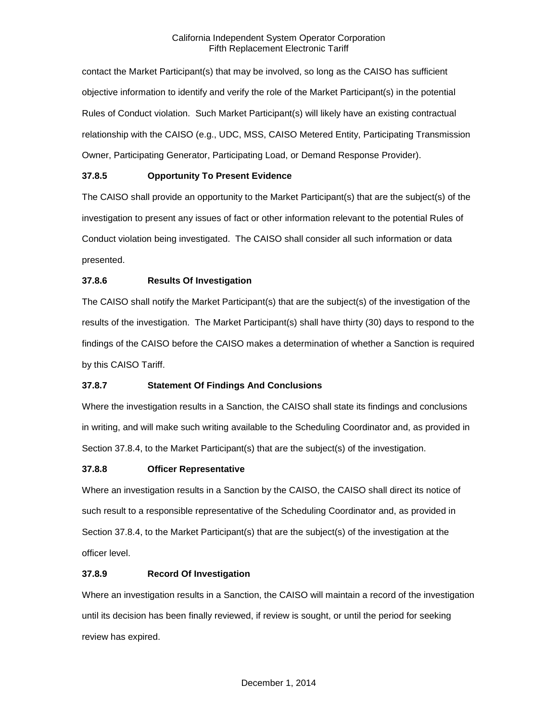contact the Market Participant(s) that may be involved, so long as the CAISO has sufficient objective information to identify and verify the role of the Market Participant(s) in the potential Rules of Conduct violation. Such Market Participant(s) will likely have an existing contractual relationship with the CAISO (e.g., UDC, MSS, CAISO Metered Entity, Participating Transmission Owner, Participating Generator, Participating Load, or Demand Response Provider).

# <span id="page-9-0"></span>**37.8.5 Opportunity To Present Evidence**

The CAISO shall provide an opportunity to the Market Participant(s) that are the subject(s) of the investigation to present any issues of fact or other information relevant to the potential Rules of Conduct violation being investigated. The CAISO shall consider all such information or data presented.

# <span id="page-9-1"></span>**37.8.6 Results Of Investigation**

The CAISO shall notify the Market Participant(s) that are the subject(s) of the investigation of the results of the investigation. The Market Participant(s) shall have thirty (30) days to respond to the findings of the CAISO before the CAISO makes a determination of whether a Sanction is required by this CAISO Tariff.

# <span id="page-9-2"></span>**37.8.7 Statement Of Findings And Conclusions**

Where the investigation results in a Sanction, the CAISO shall state its findings and conclusions in writing, and will make such writing available to the Scheduling Coordinator and, as provided in Section 37.8.4, to the Market Participant(s) that are the subject(s) of the investigation.

# <span id="page-9-3"></span>**37.8.8 Officer Representative**

Where an investigation results in a Sanction by the CAISO, the CAISO shall direct its notice of such result to a responsible representative of the Scheduling Coordinator and, as provided in Section 37.8.4, to the Market Participant(s) that are the subject(s) of the investigation at the officer level.

# <span id="page-9-4"></span>**37.8.9 Record Of Investigation**

Where an investigation results in a Sanction, the CAISO will maintain a record of the investigation until its decision has been finally reviewed, if review is sought, or until the period for seeking review has expired.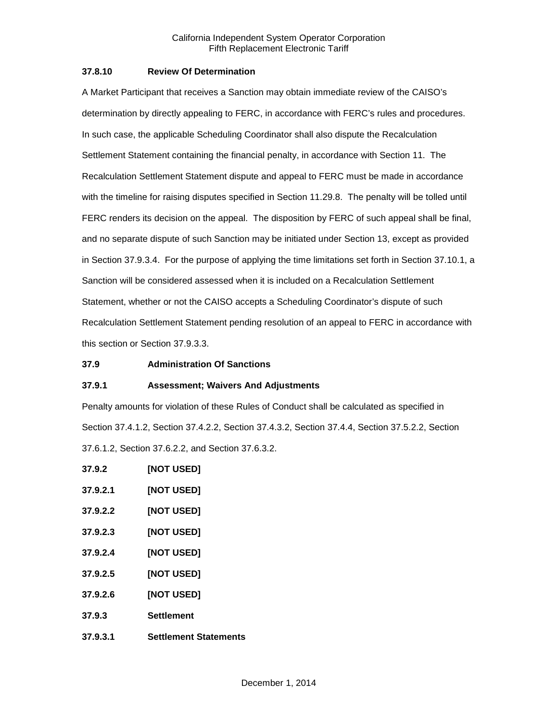#### <span id="page-10-0"></span>**37.8.10 Review Of Determination**

A Market Participant that receives a Sanction may obtain immediate review of the CAISO's determination by directly appealing to FERC, in accordance with FERC's rules and procedures. In such case, the applicable Scheduling Coordinator shall also dispute the Recalculation Settlement Statement containing the financial penalty, in accordance with Section 11. The Recalculation Settlement Statement dispute and appeal to FERC must be made in accordance with the timeline for raising disputes specified in Section 11.29.8. The penalty will be tolled until FERC renders its decision on the appeal. The disposition by FERC of such appeal shall be final, and no separate dispute of such Sanction may be initiated under Section 13, except as provided in Section 37.9.3.4. For the purpose of applying the time limitations set forth in Section 37.10.1, a Sanction will be considered assessed when it is included on a Recalculation Settlement Statement, whether or not the CAISO accepts a Scheduling Coordinator's dispute of such Recalculation Settlement Statement pending resolution of an appeal to FERC in accordance with this section or Section 37.9.3.3.

### <span id="page-10-1"></span>**37.9 Administration Of Sanctions**

### <span id="page-10-2"></span>**37.9.1 Assessment; Waivers And Adjustments**

Penalty amounts for violation of these Rules of Conduct shall be calculated as specified in Section 37.4.1.2, Section 37.4.2.2, Section 37.4.3.2, Section 37.4.4, Section 37.5.2.2, Section 37.6.1.2, Section 37.6.2.2, and Section 37.6.3.2.

<span id="page-10-4"></span><span id="page-10-3"></span>

| 37.9.2   | <b>[NOT USED]</b>            |
|----------|------------------------------|
| 37.9.2.1 | [NOT USED]                   |
| 37.9.2.2 | [NOT USED]                   |
| 37.9.2.3 | [NOT USED]                   |
| 37.9.2.4 | [NOT USED]                   |
| 37.9.2.5 | <b>[NOT USED]</b>            |
| 37.9.2.6 | <b>[NOT USED]</b>            |
| 37.9.3   | <b>Settlement</b>            |
| 37.9.3.1 | <b>Settlement Statements</b> |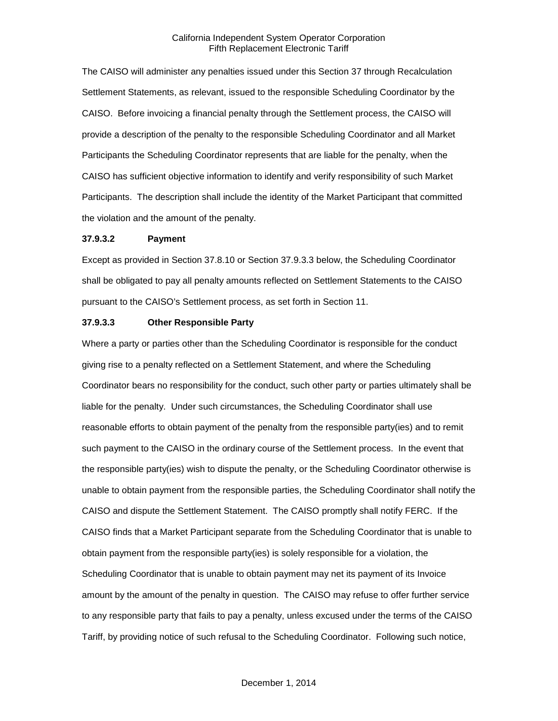The CAISO will administer any penalties issued under this Section 37 through Recalculation Settlement Statements, as relevant, issued to the responsible Scheduling Coordinator by the CAISO. Before invoicing a financial penalty through the Settlement process, the CAISO will provide a description of the penalty to the responsible Scheduling Coordinator and all Market Participants the Scheduling Coordinator represents that are liable for the penalty, when the CAISO has sufficient objective information to identify and verify responsibility of such Market Participants. The description shall include the identity of the Market Participant that committed the violation and the amount of the penalty.

#### **37.9.3.2 Payment**

Except as provided in Section 37.8.10 or Section 37.9.3.3 below, the Scheduling Coordinator shall be obligated to pay all penalty amounts reflected on Settlement Statements to the CAISO pursuant to the CAISO's Settlement process, as set forth in Section 11.

#### **37.9.3.3 Other Responsible Party**

Where a party or parties other than the Scheduling Coordinator is responsible for the conduct giving rise to a penalty reflected on a Settlement Statement, and where the Scheduling Coordinator bears no responsibility for the conduct, such other party or parties ultimately shall be liable for the penalty. Under such circumstances, the Scheduling Coordinator shall use reasonable efforts to obtain payment of the penalty from the responsible party(ies) and to remit such payment to the CAISO in the ordinary course of the Settlement process. In the event that the responsible party(ies) wish to dispute the penalty, or the Scheduling Coordinator otherwise is unable to obtain payment from the responsible parties, the Scheduling Coordinator shall notify the CAISO and dispute the Settlement Statement. The CAISO promptly shall notify FERC. If the CAISO finds that a Market Participant separate from the Scheduling Coordinator that is unable to obtain payment from the responsible party(ies) is solely responsible for a violation, the Scheduling Coordinator that is unable to obtain payment may net its payment of its Invoice amount by the amount of the penalty in question. The CAISO may refuse to offer further service to any responsible party that fails to pay a penalty, unless excused under the terms of the CAISO Tariff, by providing notice of such refusal to the Scheduling Coordinator. Following such notice,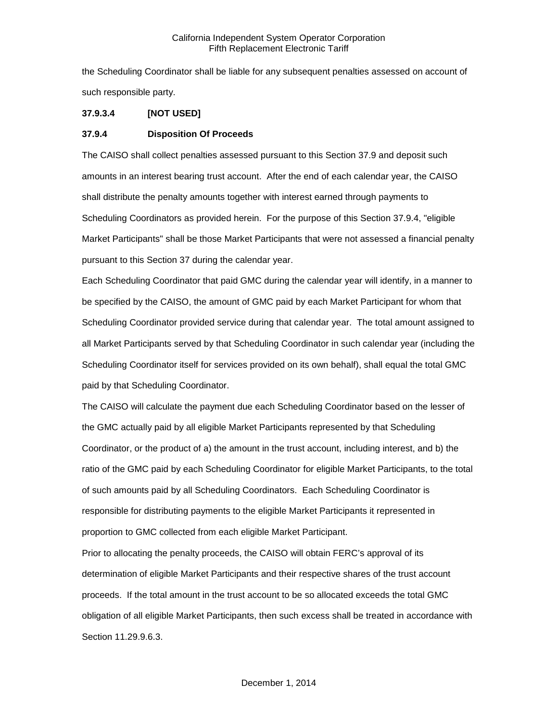the Scheduling Coordinator shall be liable for any subsequent penalties assessed on account of such responsible party.

# **37.9.3.4 [NOT USED]**

### <span id="page-12-0"></span>**37.9.4 Disposition Of Proceeds**

The CAISO shall collect penalties assessed pursuant to this Section 37.9 and deposit such amounts in an interest bearing trust account. After the end of each calendar year, the CAISO shall distribute the penalty amounts together with interest earned through payments to Scheduling Coordinators as provided herein. For the purpose of this Section 37.9.4, "eligible Market Participants" shall be those Market Participants that were not assessed a financial penalty pursuant to this Section 37 during the calendar year.

Each Scheduling Coordinator that paid GMC during the calendar year will identify, in a manner to be specified by the CAISO, the amount of GMC paid by each Market Participant for whom that Scheduling Coordinator provided service during that calendar year. The total amount assigned to all Market Participants served by that Scheduling Coordinator in such calendar year (including the Scheduling Coordinator itself for services provided on its own behalf), shall equal the total GMC paid by that Scheduling Coordinator.

The CAISO will calculate the payment due each Scheduling Coordinator based on the lesser of the GMC actually paid by all eligible Market Participants represented by that Scheduling Coordinator, or the product of a) the amount in the trust account, including interest, and b) the ratio of the GMC paid by each Scheduling Coordinator for eligible Market Participants, to the total of such amounts paid by all Scheduling Coordinators. Each Scheduling Coordinator is responsible for distributing payments to the eligible Market Participants it represented in proportion to GMC collected from each eligible Market Participant.

Prior to allocating the penalty proceeds, the CAISO will obtain FERC's approval of its determination of eligible Market Participants and their respective shares of the trust account proceeds. If the total amount in the trust account to be so allocated exceeds the total GMC obligation of all eligible Market Participants, then such excess shall be treated in accordance with Section 11.29.9.6.3.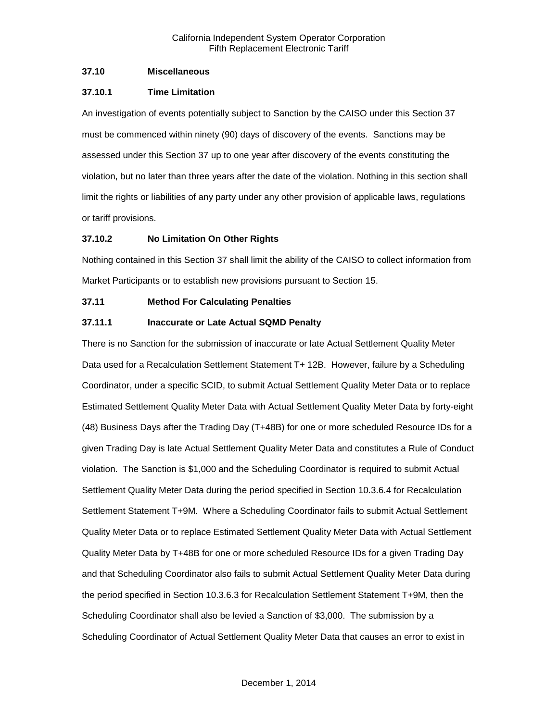# <span id="page-13-0"></span>**37.10 Miscellaneous**

## <span id="page-13-1"></span>**37.10.1 Time Limitation**

An investigation of events potentially subject to Sanction by the CAISO under this Section 37 must be commenced within ninety (90) days of discovery of the events. Sanctions may be assessed under this Section 37 up to one year after discovery of the events constituting the violation, but no later than three years after the date of the violation. Nothing in this section shall limit the rights or liabilities of any party under any other provision of applicable laws, regulations or tariff provisions.

# <span id="page-13-2"></span>**37.10.2 No Limitation On Other Rights**

Nothing contained in this Section 37 shall limit the ability of the CAISO to collect information from Market Participants or to establish new provisions pursuant to Section 15.

# <span id="page-13-3"></span>**37.11 Method For Calculating Penalties**

# <span id="page-13-4"></span>**37.11.1 Inaccurate or Late Actual SQMD Penalty**

There is no Sanction for the submission of inaccurate or late Actual Settlement Quality Meter Data used for a Recalculation Settlement Statement T+ 12B. However, failure by a Scheduling Coordinator, under a specific SCID, to submit Actual Settlement Quality Meter Data or to replace Estimated Settlement Quality Meter Data with Actual Settlement Quality Meter Data by forty-eight (48) Business Days after the Trading Day (T+48B) for one or more scheduled Resource IDs for a given Trading Day is late Actual Settlement Quality Meter Data and constitutes a Rule of Conduct violation. The Sanction is \$1,000 and the Scheduling Coordinator is required to submit Actual Settlement Quality Meter Data during the period specified in Section 10.3.6.4 for Recalculation Settlement Statement T+9M. Where a Scheduling Coordinator fails to submit Actual Settlement Quality Meter Data or to replace Estimated Settlement Quality Meter Data with Actual Settlement Quality Meter Data by T+48B for one or more scheduled Resource IDs for a given Trading Day and that Scheduling Coordinator also fails to submit Actual Settlement Quality Meter Data during the period specified in Section 10.3.6.3 for Recalculation Settlement Statement T+9M, then the Scheduling Coordinator shall also be levied a Sanction of \$3,000. The submission by a Scheduling Coordinator of Actual Settlement Quality Meter Data that causes an error to exist in